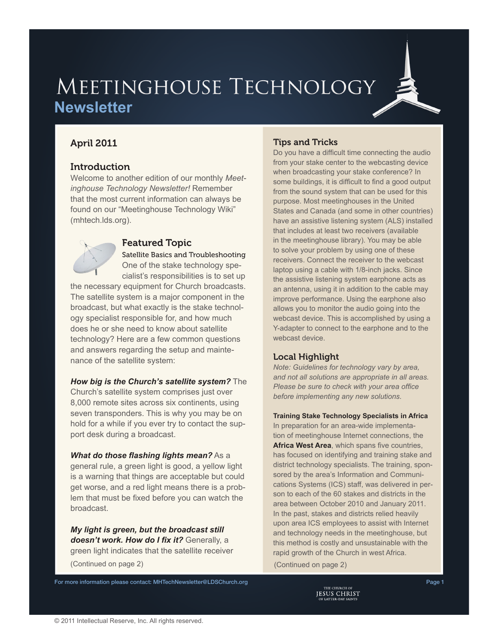# MEETINGHOUSE TECHNOLOGY **Newsletter**

# April 2011

# **Introduction**

Welcome to another edition of our monthly *Meetinghouse Technology Newsletter!* Remember that the most current information can always be found on our "Meetinghouse Technology Wiki" [\(mhtech.lds.org\)](http://mhtech.lds.org).



# Featured Topic

Satellite Basics and Troubleshooting One of the stake technology spe-

cialist's responsibilities is to set up the necessary equipment for Church broadcasts. The satellite system is a major component in the broadcast, but what exactly is the stake technology specialist responsible for, and how much does he or she need to know about satellite technology? Here are a few common questions and answers regarding the setup and maintenance of the satellite system:

## *How big is the Church's satellite system?* The

Church's satellite system comprises just over 8,000 remote sites across six continents, using seven transponders. This is why you may be on hold for a while if you ever try to contact the support desk during a broadcast.

## *What do those flashing lights mean?* As a

general rule, a green light is good, a yellow light is a warning that things are acceptable but could get worse, and a red light means there is a problem that must be fixed before you can watch the broadcast.

*My light is green, but the broadcast still doesn't work. How do I fix it?* Generally, a green light indicates that the satellite receiver (Continued on page 2) (Continued on page 2)

# Tips and Tricks

Do you have a difficult time connecting the audio from your stake center to the webcasting device when broadcasting your stake conference? In some buildings, it is difficult to find a good output from the sound system that can be used for this purpose. Most meetinghouses in the United States and Canada (and some in other countries) have an assistive listening system (ALS) installed that includes at least two receivers (available in the meetinghouse library). You may be able to solve your problem by using one of these receivers. Connect the receiver to the webcast laptop using a cable with 1/8-inch jacks. Since the assistive listening system earphone acts as an antenna, using it in addition to the cable may improve performance. Using the earphone also allows you to monitor the audio going into the webcast device. This is accomplished by using a Y-adapter to connect to the earphone and to the webcast device.

# Local Highlight

*Note: Guidelines for technology vary by area, and not all solutions are appropriate in all areas. Please be sure to check with your area office before implementing any new solutions.*

**Training Stake Technology Specialists in Africa** In preparation for an area-wide implementation of meetinghouse Internet connections, the **Africa West Area**, which spans five countries, has focused on identifying and training stake and district technology specialists. The training, sponsored by the area's Information and Communications Systems (ICS) staff, was delivered in person to each of the 60 stakes and districts in the area between October 2010 and January 2011. In the past, stakes and districts relied heavily upon area ICS employees to assist with Internet and technology needs in the meetinghouse, but this method is costly and unsustainable with the rapid growth of the Church in west Africa.